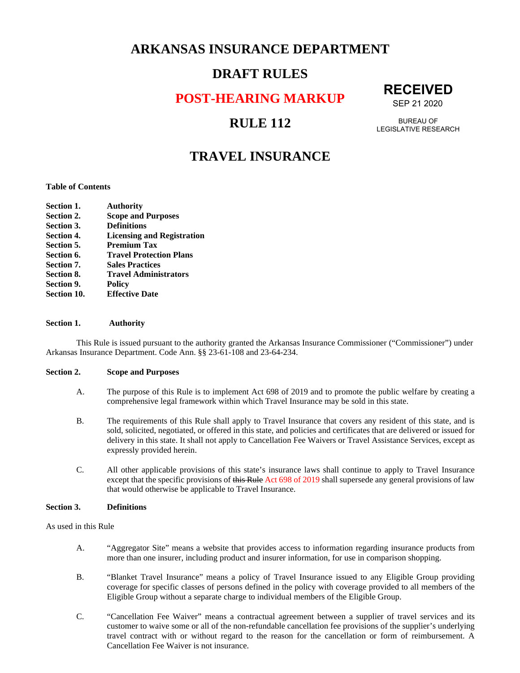## **ARKANSAS INSURANCE DEPARTMENT**

## **DRAFT RULES**

**POST-HEARING MARKUP** 

## **RULE 112**

# **RECEIVED**

SEP 21 2020

BUREAU OF LEGISLATIVE RESEARCH

## **TRAVEL INSURANCE**

#### **Table of Contents**

| <b>Section 1.</b> | <b>Authority</b>                  |
|-------------------|-----------------------------------|
| Section 2.        | <b>Scope and Purposes</b>         |
| Section 3.        | <b>Definitions</b>                |
| <b>Section 4.</b> | <b>Licensing and Registration</b> |
| Section 5.        | <b>Premium Tax</b>                |
| Section 6.        | <b>Travel Protection Plans</b>    |
| Section 7.        | <b>Sales Practices</b>            |
| Section 8.        | <b>Travel Administrators</b>      |
| Section 9.        | <b>Policy</b>                     |
| Section 10.       | <b>Effective Date</b>             |

#### **Section 1. Authority**

This Rule is issued pursuant to the authority granted the Arkansas Insurance Commissioner ("Commissioner") under Arkansas Insurance Department. Code Ann. §§ 23-61-108 and 23-64-234.

#### **Section 2. Scope and Purposes**

- A. The purpose of this Rule is to implement Act 698 of 2019 and to promote the public welfare by creating a comprehensive legal framework within which Travel Insurance may be sold in this state.
- B. The requirements of this Rule shall apply to Travel Insurance that covers any resident of this state, and is sold, solicited, negotiated, or offered in this state, and policies and certificates that are delivered or issued for delivery in this state. It shall not apply to Cancellation Fee Waivers or Travel Assistance Services, except as expressly provided herein.
- C. All other applicable provisions of this state's insurance laws shall continue to apply to Travel Insurance except that the specific provisions of this Rule Act 698 of 2019 shall supersede any general provisions of law that would otherwise be applicable to Travel Insurance.

#### **Section 3. Definitions**

As used in this Rule

- A. "Aggregator Site" means a website that provides access to information regarding insurance products from more than one insurer, including product and insurer information, for use in comparison shopping.
- B. "Blanket Travel Insurance" means a policy of Travel Insurance issued to any Eligible Group providing coverage for specific classes of persons defined in the policy with coverage provided to all members of the Eligible Group without a separate charge to individual members of the Eligible Group.
- C. "Cancellation Fee Waiver" means a contractual agreement between a supplier of travel services and its customer to waive some or all of the non-refundable cancellation fee provisions of the supplier's underlying travel contract with or without regard to the reason for the cancellation or form of reimbursement. A Cancellation Fee Waiver is not insurance.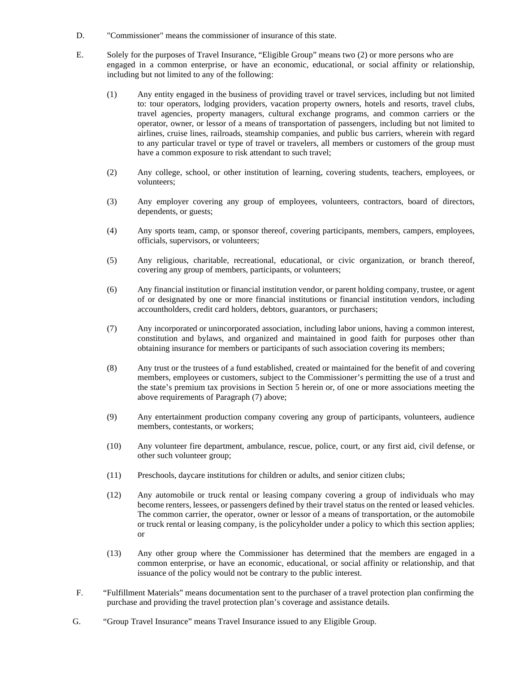- D. "Commissioner" means the commissioner of insurance of this state.
- E. Solely for the purposes of Travel Insurance, "Eligible Group" means two (2) or more persons who are engaged in a common enterprise, or have an economic, educational, or social affinity or relationship, including but not limited to any of the following:
	- (1) Any entity engaged in the business of providing travel or travel services, including but not limited to: tour operators, lodging providers, vacation property owners, hotels and resorts, travel clubs, travel agencies, property managers, cultural exchange programs, and common carriers or the operator, owner, or lessor of a means of transportation of passengers, including but not limited to airlines, cruise lines, railroads, steamship companies, and public bus carriers, wherein with regard to any particular travel or type of travel or travelers, all members or customers of the group must have a common exposure to risk attendant to such travel;
	- (2) Any college, school, or other institution of learning, covering students, teachers, employees, or volunteers;
	- (3) Any employer covering any group of employees, volunteers, contractors, board of directors, dependents, or guests;
	- (4) Any sports team, camp, or sponsor thereof, covering participants, members, campers, employees, officials, supervisors, or volunteers;
	- (5) Any religious, charitable, recreational, educational, or civic organization, or branch thereof, covering any group of members, participants, or volunteers;
	- (6) Any financial institution or financial institution vendor, or parent holding company, trustee, or agent of or designated by one or more financial institutions or financial institution vendors, including accountholders, credit card holders, debtors, guarantors, or purchasers;
	- (7) Any incorporated or unincorporated association, including labor unions, having a common interest, constitution and bylaws, and organized and maintained in good faith for purposes other than obtaining insurance for members or participants of such association covering its members;
	- (8) Any trust or the trustees of a fund established, created or maintained for the benefit of and covering members, employees or customers, subject to the Commissioner's permitting the use of a trust and the state's premium tax provisions in Section 5 herein or, of one or more associations meeting the above requirements of Paragraph (7) above;
	- (9) Any entertainment production company covering any group of participants, volunteers, audience members, contestants, or workers;
	- (10) Any volunteer fire department, ambulance, rescue, police, court, or any first aid, civil defense, or other such volunteer group;
	- (11) Preschools, daycare institutions for children or adults, and senior citizen clubs;
	- (12) Any automobile or truck rental or leasing company covering a group of individuals who may become renters, lessees, or passengers defined by their travel status on the rented or leased vehicles. The common carrier, the operator, owner or lessor of a means of transportation, or the automobile or truck rental or leasing company, is the policyholder under a policy to which this section applies; or
	- (13) Any other group where the Commissioner has determined that the members are engaged in a common enterprise, or have an economic, educational, or social affinity or relationship, and that issuance of the policy would not be contrary to the public interest.
- F. "Fulfillment Materials" means documentation sent to the purchaser of a travel protection plan confirming the purchase and providing the travel protection plan's coverage and assistance details.
- G. "Group Travel Insurance" means Travel Insurance issued to any Eligible Group.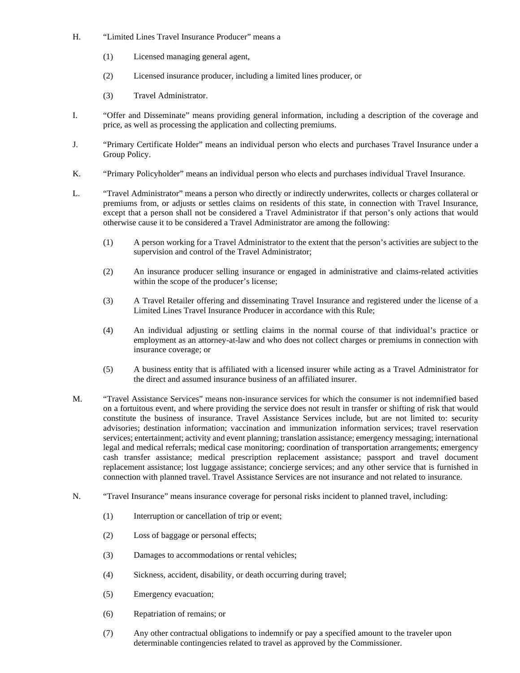- H. "Limited Lines Travel Insurance Producer" means a
	- (1) Licensed managing general agent,
	- (2) Licensed insurance producer, including a limited lines producer, or
	- (3) Travel Administrator.
- I. "Offer and Disseminate" means providing general information, including a description of the coverage and price, as well as processing the application and collecting premiums.
- J. "Primary Certificate Holder" means an individual person who elects and purchases Travel Insurance under a Group Policy.
- K. "Primary Policyholder" means an individual person who elects and purchases individual Travel Insurance.
- L. "Travel Administrator" means a person who directly or indirectly underwrites, collects or charges collateral or premiums from, or adjusts or settles claims on residents of this state, in connection with Travel Insurance, except that a person shall not be considered a Travel Administrator if that person's only actions that would otherwise cause it to be considered a Travel Administrator are among the following:
	- (1) A person working for a Travel Administrator to the extent that the person's activities are subject to the supervision and control of the Travel Administrator;
	- (2) An insurance producer selling insurance or engaged in administrative and claims-related activities within the scope of the producer's license;
	- (3) A Travel Retailer offering and disseminating Travel Insurance and registered under the license of a Limited Lines Travel Insurance Producer in accordance with this Rule;
	- (4) An individual adjusting or settling claims in the normal course of that individual's practice or employment as an attorney-at-law and who does not collect charges or premiums in connection with insurance coverage; or
	- (5) A business entity that is affiliated with a licensed insurer while acting as a Travel Administrator for the direct and assumed insurance business of an affiliated insurer.
- M. "Travel Assistance Services" means non-insurance services for which the consumer is not indemnified based on a fortuitous event, and where providing the service does not result in transfer or shifting of risk that would constitute the business of insurance. Travel Assistance Services include, but are not limited to: security advisories; destination information; vaccination and immunization information services; travel reservation services; entertainment; activity and event planning; translation assistance; emergency messaging; international legal and medical referrals; medical case monitoring; coordination of transportation arrangements; emergency cash transfer assistance; medical prescription replacement assistance; passport and travel document replacement assistance; lost luggage assistance; concierge services; and any other service that is furnished in connection with planned travel. Travel Assistance Services are not insurance and not related to insurance.
- N. "Travel Insurance" means insurance coverage for personal risks incident to planned travel, including:
	- (1) Interruption or cancellation of trip or event;
	- (2) Loss of baggage or personal effects;
	- (3) Damages to accommodations or rental vehicles;
	- (4) Sickness, accident, disability, or death occurring during travel;
	- (5) Emergency evacuation;
	- (6) Repatriation of remains; or
	- (7) Any other contractual obligations to indemnify or pay a specified amount to the traveler upon determinable contingencies related to travel as approved by the Commissioner.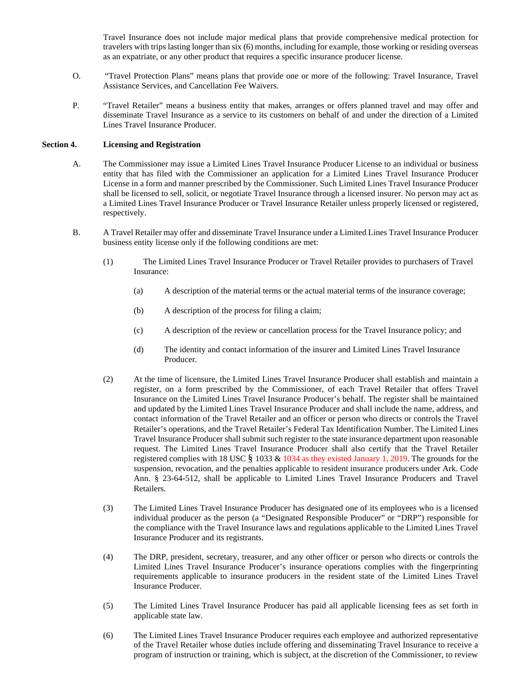Travel Insurance does not include major medical plans that provide comprehensive medical protection for travelers with trips lasting longer than six (6) months, including for example, those working or residing overseas as an expatriate, or any other product that requires a specific insurance producer license.

- O. "Travel Protection Plans" means plans that provide one or more of the following: Travel Insurance, Travel Assistance Services, and Cancellation Fee Waivers.
- P. "Travel Retailer" means a business entity that makes, arranges or offers planned travel and may offer and disseminate Travel Insurance as a service to its customers on behalf of and under the direction of a Limited Lines Travel Insurance Producer.

#### **Section 4. Licensing and Registration**

- A. The Commissioner may issue a Limited Lines Travel Insurance Producer License to an individual or business entity that has filed with the Commissioner an application for a Limited Lines Travel Insurance Producer License in a form and manner prescribed by the Commissioner. Such Limited Lines Travel Insurance Producer shall be licensed to sell, solicit, or negotiate Travel Insurance through a licensed insurer. No person may act as a Limited Lines Travel Insurance Producer or Travel Insurance Retailer unless properly licensed or registered, respectively.
- B. A Travel Retailer may offer and disseminate Travel Insurance under a Limited Lines Travel Insurance Producer business entity license only if the following conditions are met:
	- (1) The Limited Lines Travel Insurance Producer or Travel Retailer provides to purchasers of Travel Insurance:
		- (a) A description of the material terms or the actual material terms of the insurance coverage;
		- (b) A description of the process for filing a claim;
		- (c) A description of the review or cancellation process for the Travel Insurance policy; and
		- (d) The identity and contact information of the insurer and Limited Lines Travel Insurance Producer.
	- (2) At the time of licensure, the Limited Lines Travel Insurance Producer shall establish and maintain a register, on a form prescribed by the Commissioner, of each Travel Retailer that offers Travel Insurance on the Limited Lines Travel Insurance Producer's behalf. The register shall be maintained and updated by the Limited Lines Travel Insurance Producer and shall include the name, address, and contact information of the Travel Retailer and an officer or person who directs or controls the Travel Retailer's operations, and the Travel Retailer's Federal Tax Identification Number. The Limited Lines Travel Insurance Producer shall submit such register to the state insurance department upon reasonable request. The Limited Lines Travel Insurance Producer shall also certify that the Travel Retailer registered complies with 18 USC § 1033 & 1034 as they existed January 1, 2019. The grounds for the suspension, revocation, and the penalties applicable to resident insurance producers under Ark. Code Ann. § 23-64-512, shall be applicable to Limited Lines Travel Insurance Producers and Travel Retailers.
	- (3) The Limited Lines Travel Insurance Producer has designated one of its employees who is a licensed individual producer as the person (a "Designated Responsible Producer" or "DRP") responsible for the compliance with the Travel Insurance laws and regulations applicable to the Limited Lines Travel Insurance Producer and its registrants.
	- (4) The DRP, president, secretary, treasurer, and any other officer or person who directs or controls the Limited Lines Travel Insurance Producer's insurance operations complies with the fingerprinting requirements applicable to insurance producers in the resident state of the Limited Lines Travel Insurance Producer.
	- (5) The Limited Lines Travel Insurance Producer has paid all applicable licensing fees as set forth in applicable state law.
	- (6) The Limited Lines Travel Insurance Producer requires each employee and authorized representative of the Travel Retailer whose duties include offering and disseminating Travel Insurance to receive a program of instruction or training, which is subject, at the discretion of the Commissioner, to review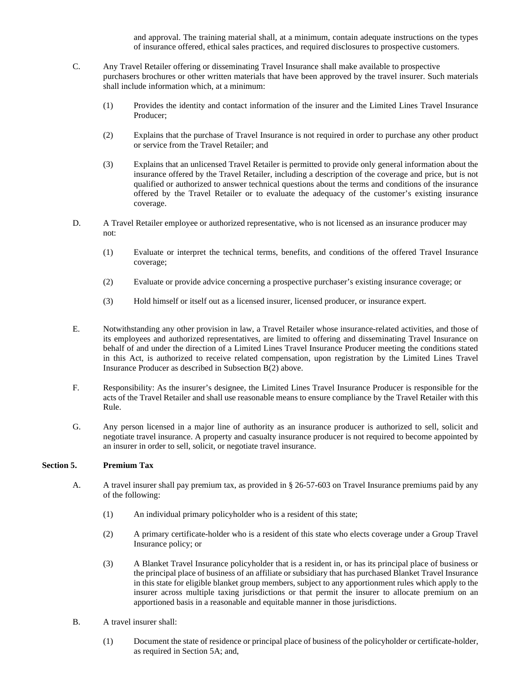and approval. The training material shall, at a minimum, contain adequate instructions on the types of insurance offered, ethical sales practices, and required disclosures to prospective customers.

- C. Any Travel Retailer offering or disseminating Travel Insurance shall make available to prospective purchasers brochures or other written materials that have been approved by the travel insurer. Such materials shall include information which, at a minimum:
	- (1) Provides the identity and contact information of the insurer and the Limited Lines Travel Insurance Producer;
	- (2) Explains that the purchase of Travel Insurance is not required in order to purchase any other product or service from the Travel Retailer; and
	- (3) Explains that an unlicensed Travel Retailer is permitted to provide only general information about the insurance offered by the Travel Retailer, including a description of the coverage and price, but is not qualified or authorized to answer technical questions about the terms and conditions of the insurance offered by the Travel Retailer or to evaluate the adequacy of the customer's existing insurance coverage.
- D. A Travel Retailer employee or authorized representative, who is not licensed as an insurance producer may not:
	- (1) Evaluate or interpret the technical terms, benefits, and conditions of the offered Travel Insurance coverage;
	- (2) Evaluate or provide advice concerning a prospective purchaser's existing insurance coverage; or
	- (3) Hold himself or itself out as a licensed insurer, licensed producer, or insurance expert.
- E. Notwithstanding any other provision in law, a Travel Retailer whose insurance-related activities, and those of its employees and authorized representatives, are limited to offering and disseminating Travel Insurance on behalf of and under the direction of a Limited Lines Travel Insurance Producer meeting the conditions stated in this Act, is authorized to receive related compensation, upon registration by the Limited Lines Travel Insurance Producer as described in Subsection B(2) above.
- F. Responsibility: As the insurer's designee, the Limited Lines Travel Insurance Producer is responsible for the acts of the Travel Retailer and shall use reasonable means to ensure compliance by the Travel Retailer with this Rule.
- G. Any person licensed in a major line of authority as an insurance producer is authorized to sell, solicit and negotiate travel insurance. A property and casualty insurance producer is not required to become appointed by an insurer in order to sell, solicit, or negotiate travel insurance.

#### **Section 5. Premium Tax**

- A. A travel insurer shall pay premium tax, as provided in § 26-57-603 on Travel Insurance premiums paid by any of the following:
	- (1) An individual primary policyholder who is a resident of this state;
	- (2) A primary certificate-holder who is a resident of this state who elects coverage under a Group Travel Insurance policy; or
	- (3) A Blanket Travel Insurance policyholder that is a resident in, or has its principal place of business or the principal place of business of an affiliate or subsidiary that has purchased Blanket Travel Insurance in this state for eligible blanket group members, subject to any apportionment rules which apply to the insurer across multiple taxing jurisdictions or that permit the insurer to allocate premium on an apportioned basis in a reasonable and equitable manner in those jurisdictions.
- B. A travel insurer shall:
	- (1) Document the state of residence or principal place of business of the policyholder or certificate-holder, as required in Section 5A; and,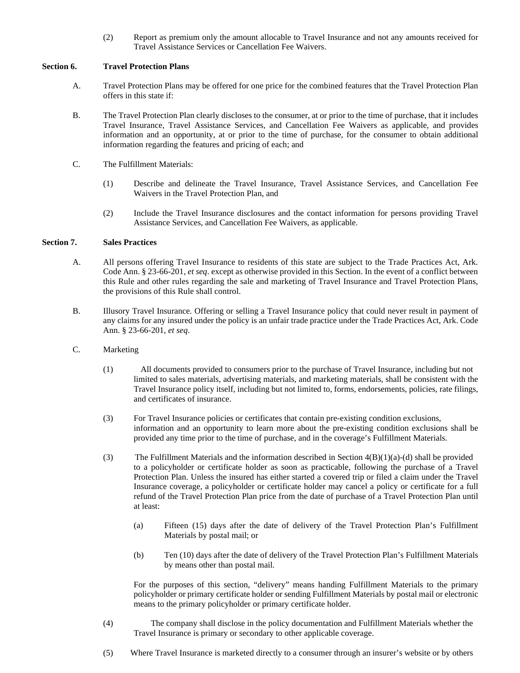(2) Report as premium only the amount allocable to Travel Insurance and not any amounts received for Travel Assistance Services or Cancellation Fee Waivers.

#### **Section 6. Travel Protection Plans**

- A. Travel Protection Plans may be offered for one price for the combined features that the Travel Protection Plan offers in this state if:
- B. The Travel Protection Plan clearly discloses to the consumer, at or prior to the time of purchase, that it includes Travel Insurance, Travel Assistance Services, and Cancellation Fee Waivers as applicable, and provides information and an opportunity, at or prior to the time of purchase, for the consumer to obtain additional information regarding the features and pricing of each; and
- C. The Fulfillment Materials:
	- (1) Describe and delineate the Travel Insurance, Travel Assistance Services, and Cancellation Fee Waivers in the Travel Protection Plan, and
	- (2) Include the Travel Insurance disclosures and the contact information for persons providing Travel Assistance Services, and Cancellation Fee Waivers, as applicable.

#### **Section 7. Sales Practices**

- A. All persons offering Travel Insurance to residents of this state are subject to the Trade Practices Act, Ark. Code Ann. § 23-66-201, *et seq*. except as otherwise provided in this Section. In the event of a conflict between this Rule and other rules regarding the sale and marketing of Travel Insurance and Travel Protection Plans, the provisions of this Rule shall control.
- B. Illusory Travel Insurance. Offering or selling a Travel Insurance policy that could never result in payment of any claims for any insured under the policy is an unfair trade practice under the Trade Practices Act, Ark. Code Ann. § 23-66-201, *et seq*.
- C. Marketing
	- (1) All documents provided to consumers prior to the purchase of Travel Insurance, including but not limited to sales materials, advertising materials, and marketing materials, shall be consistent with the Travel Insurance policy itself, including but not limited to, forms, endorsements, policies, rate filings, and certificates of insurance.
	- (3) For Travel Insurance policies or certificates that contain pre-existing condition exclusions, information and an opportunity to learn more about the pre-existing condition exclusions shall be provided any time prior to the time of purchase, and in the coverage's Fulfillment Materials.
	- (3) The Fulfillment Materials and the information described in Section  $4(B)(1)(a)-(d)$  shall be provided to a policyholder or certificate holder as soon as practicable, following the purchase of a Travel Protection Plan. Unless the insured has either started a covered trip or filed a claim under the Travel Insurance coverage, a policyholder or certificate holder may cancel a policy or certificate for a full refund of the Travel Protection Plan price from the date of purchase of a Travel Protection Plan until at least:
		- (a) Fifteen (15) days after the date of delivery of the Travel Protection Plan's Fulfillment Materials by postal mail; or
		- (b) Ten (10) days after the date of delivery of the Travel Protection Plan's Fulfillment Materials by means other than postal mail.

For the purposes of this section, "delivery" means handing Fulfillment Materials to the primary policyholder or primary certificate holder or sending Fulfillment Materials by postal mail or electronic means to the primary policyholder or primary certificate holder.

- (4) The company shall disclose in the policy documentation and Fulfillment Materials whether the Travel Insurance is primary or secondary to other applicable coverage.
- (5) Where Travel Insurance is marketed directly to a consumer through an insurer's website or by others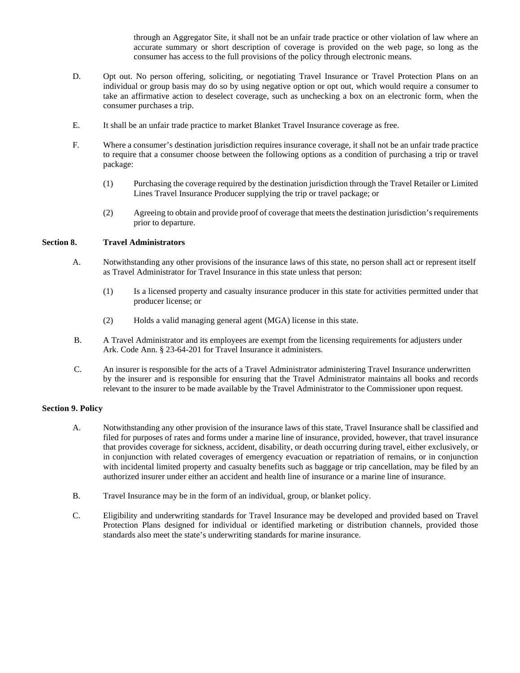through an Aggregator Site, it shall not be an unfair trade practice or other violation of law where an accurate summary or short description of coverage is provided on the web page, so long as the consumer has access to the full provisions of the policy through electronic means.

- D. Opt out. No person offering, soliciting, or negotiating Travel Insurance or Travel Protection Plans on an individual or group basis may do so by using negative option or opt out, which would require a consumer to take an affirmative action to deselect coverage, such as unchecking a box on an electronic form, when the consumer purchases a trip.
- E. It shall be an unfair trade practice to market Blanket Travel Insurance coverage as free.
- F. Where a consumer's destination jurisdiction requires insurance coverage, it shall not be an unfair trade practice to require that a consumer choose between the following options as a condition of purchasing a trip or travel package:
	- (1) Purchasing the coverage required by the destination jurisdiction through the Travel Retailer or Limited Lines Travel Insurance Producer supplying the trip or travel package; or
	- (2) Agreeing to obtain and provide proof of coverage that meets the destination jurisdiction's requirements prior to departure.

#### **Section 8. Travel Administrators**

- A. Notwithstanding any other provisions of the insurance laws of this state, no person shall act or represent itself as Travel Administrator for Travel Insurance in this state unless that person:
	- (1) Is a licensed property and casualty insurance producer in this state for activities permitted under that producer license; or
	- (2) Holds a valid managing general agent (MGA) license in this state.
- B. A Travel Administrator and its employees are exempt from the licensing requirements for adjusters under Ark. Code Ann. § 23-64-201 for Travel Insurance it administers.
- C. An insurer is responsible for the acts of a Travel Administrator administering Travel Insurance underwritten by the insurer and is responsible for ensuring that the Travel Administrator maintains all books and records relevant to the insurer to be made available by the Travel Administrator to the Commissioner upon request.

#### **Section 9. Policy**

- A. Notwithstanding any other provision of the insurance laws of this state, Travel Insurance shall be classified and filed for purposes of rates and forms under a marine line of insurance, provided, however, that travel insurance that provides coverage for sickness, accident, disability, or death occurring during travel, either exclusively, or in conjunction with related coverages of emergency evacuation or repatriation of remains, or in conjunction with incidental limited property and casualty benefits such as baggage or trip cancellation, may be filed by an authorized insurer under either an accident and health line of insurance or a marine line of insurance.
- B. Travel Insurance may be in the form of an individual, group, or blanket policy.
- C. Eligibility and underwriting standards for Travel Insurance may be developed and provided based on Travel Protection Plans designed for individual or identified marketing or distribution channels, provided those standards also meet the state's underwriting standards for marine insurance.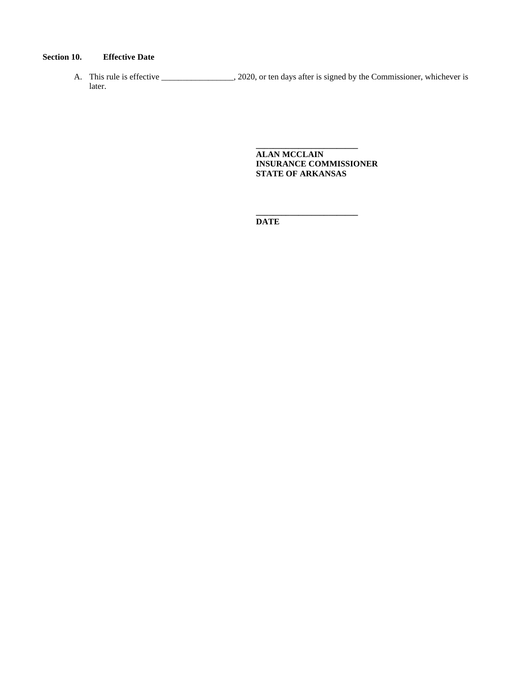### **Section 10. Effective Date**

A. This rule is effective \_\_\_\_\_\_\_\_\_\_\_\_\_, 2020, or ten days after is signed by the Commissioner, whichever is later.

> **ALAN MCCLAIN INSURANCE COMMISSIONER STATE OF ARKANSAS**

**\_\_\_\_\_\_\_\_\_\_\_\_\_\_\_\_\_\_\_\_\_\_\_\_** 

**\_\_\_\_\_\_\_\_\_\_\_\_\_\_\_\_\_\_\_\_\_\_\_\_ DATE**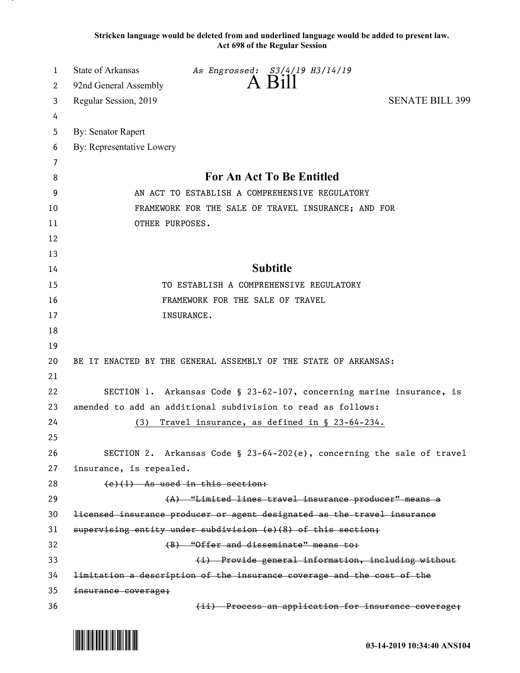**Stricken language would be deleted from and underlined language would be added to present law. Act 698 of the Regular Session**

| 1  | State of Arkansas<br>As Engrossed: S3/4/19 H3/14/19                     |
|----|-------------------------------------------------------------------------|
| 2  | $A$ Bill<br>92nd General Assembly                                       |
| 3  | Regular Session, 2019<br><b>SENATE BILL 399</b>                         |
| 4  |                                                                         |
| 5  | <b>By: Senator Rapert</b>                                               |
| 6  | By: Representative Lowery                                               |
| 7  |                                                                         |
| 8  | For An Act To Be Entitled                                               |
| 9  | AN ACT TO ESTABLISH A COMPREHENSIVE REGULATORY                          |
| 10 | FRAMEWORK FOR THE SALE OF TRAVEL INSURANCE; AND FOR                     |
| 11 | OTHER PURPOSES.                                                         |
| 12 |                                                                         |
| 13 |                                                                         |
| 14 | <b>Subtitle</b>                                                         |
| 15 | TO ESTABLISH A COMPREHENSIVE REGULATORY                                 |
| 16 | FRAMEWORK FOR THE SALE OF TRAVEL                                        |
| 17 | INSURANCE.                                                              |
| 18 |                                                                         |
| 19 |                                                                         |
| 20 | BE IT ENACTED BY THE GENERAL ASSEMBLY OF THE STATE OF ARKANSAS:         |
| 21 |                                                                         |
| 22 | SECTION 1. Arkansas Code § 23-62-107, concerning marine insurance, is   |
| 23 | amended to add an additional subdivision to read as follows:            |
| 24 | Travel insurance, as defined in § 23-64-234.<br>(3)                     |
| 25 |                                                                         |
| 26 | SECTION 2. Arkansas Code § 23-64-202(e), concerning the sale of travel  |
| 27 | insurance, is repealed.                                                 |
| 28 | $(e)(1)$ As used in this section:                                       |
| 29 | (A) "Limited lines travel insurance producer" means a                   |
| 30 | licensed insurance producer or agent designated as the travel insurance |
| 31 | supervising entity under subdivision (e)(8) of this section;            |
| 32 | (B) "Offer and disseminate" means to:                                   |
| 33 | (i) Provide general information, including without                      |
| 34 | limitation a description of the insurance coverage and the cost of the  |
| 35 | insurance coverage;                                                     |
| 36 | (ii) Process an application for insurance coverage;                     |

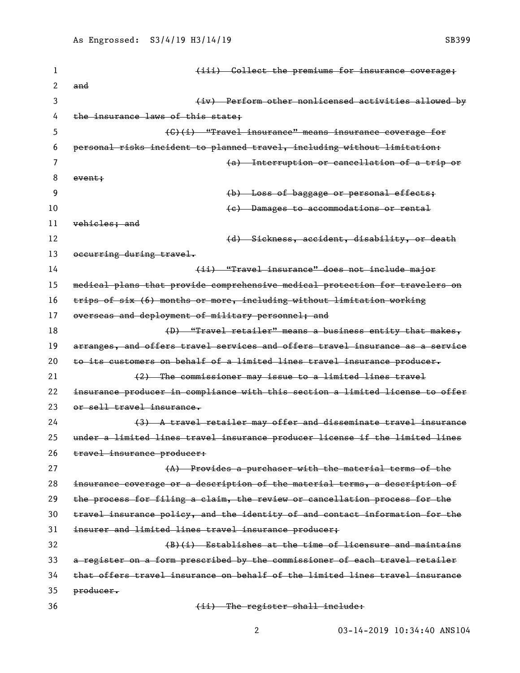| 1  | (iii) Collect the premiums for insurance coverage;                            |
|----|-------------------------------------------------------------------------------|
| 2  | and                                                                           |
| 3  | (iv) Perform other nonlicensed activities allowed by                          |
| 4  | the insurance laws of this state;                                             |
| 5  | (C)(i) "Travel insurance" means insurance coverage for                        |
| 6  | personal risks incident to planned travel, including without limitation:      |
| 7  | (a) Interruption or cancellation of a trip or                                 |
| 8  | event;                                                                        |
| 9  | (b) Loss of baggage or personal effects;                                      |
| 10 | (e) Damages to accommodations or rental                                       |
| 11 | vehicles; and                                                                 |
| 12 | (d) Sickness, accident, disability, or death                                  |
| 13 | occurring during travel.                                                      |
| 14 | (ii) "Travel insurance" does not include major                                |
| 15 | medical plans that provide comprehensive medical protection for travelers on  |
| 16 | trips of six (6) months or more, including without limitation working         |
| 17 | overseas and deployment of military personnel; and                            |
| 18 | (D) "Travel retailer" means a business entity that makes,                     |
| 19 | arranges, and offers travel services and offers travel insurance as a service |
| 20 | to its customers on behalf of a limited lines travel insurance producer.      |
| 21 | (2) The commissioner may issue to a limited lines travel                      |
| 22 | insurance producer in compliance with this section a limited license to offer |
| 23 | or sell travel insurance.                                                     |
| 24 | (3) A travel retailer may offer and disseminate travel insurance              |
| 25 | under a limited lines travel insurance producer license if the limited lines  |
| 26 | travel insurance producer:                                                    |
| 27 | (A) Provides a purchaser with the material terms of the                       |
| 28 | insurance coverage or a description of the material terms, a description of   |
| 29 | the process for filing a claim, the review or cancellation process for the    |
| 30 | travel insurance policy, and the identity of and contact information for the  |
| 31 | insurer and limited lines travel insurance producer;                          |
| 32 | $(B)(i)$ Establishes at the time of licensure and maintains                   |
| 33 | a register on a form prescribed by the commissioner of each travel retailer   |
| 34 | that offers travel insurance on behalf of the limited lines travel insurance  |
| 35 | producer.                                                                     |
| 36 | (ii) The register shall include:                                              |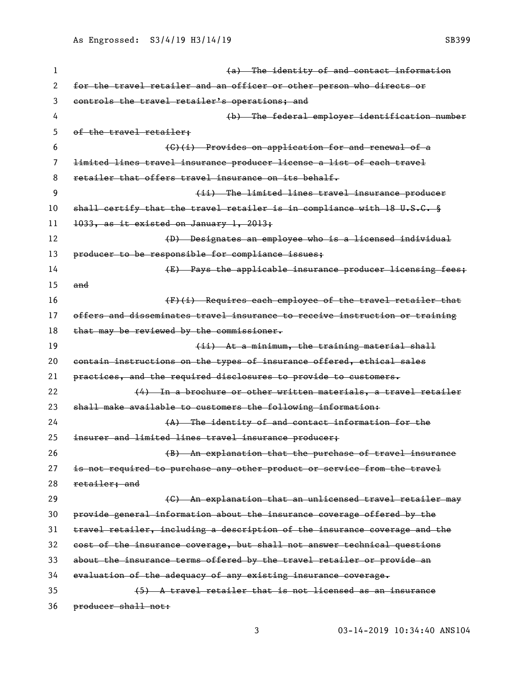1 and the identity of and contact information for the travel retailer and an officer or other person who directs or controls the travel retailer's operations; and (b) The federal employer identification number of the travel retailer; (C)(i) Provides on application for and renewal of a limited lines travel insurance producer license a list of each travel 8 retailer that offers travel insurance on its behalf. (ii) The limited lines travel insurance producer 10 shall certify that the travel retailer is in compliance with 18 U.S.C. § 1033, as it existed on January 1, 2013; 12 (D) Designates an employee who is a licensed individual 13 producer to be responsible for compliance issues; **E E** Pays the applicable insurance producer licensing fees; and (F)(i) Requires each employee of the travel retailer that offers and disseminates travel insurance to receive instruction or training 18 that may be reviewed by the commissioner. **19** (ii) At a minimum, the training material shall contain instructions on the types of insurance offered, ethical sales practices, and the required disclosures to provide to customers.  $(4)$  In a brochure or other written materials, a travel retailer shall make available to customers the following information: 24 (A) The identity of and contact information for the insurer and limited lines travel insurance producer; (B) An explanation that the purchase of travel insurance is not required to purchase any other product or service from the travel retailer; and 29 The Communist Communist Communist Communist Communist Communist Communist Communist Communist Communist Communist Communist Communist Communist Communist Communist Communist Communist Communist Communist Communist Commu provide general information about the insurance coverage offered by the travel retailer, including a description of the insurance coverage and the cost of the insurance coverage, but shall not answer technical questions about the insurance terms offered by the travel retailer or provide an evaluation of the adequacy of any existing insurance coverage. (5) A travel retailer that is not licensed as an insurance

producer shall not: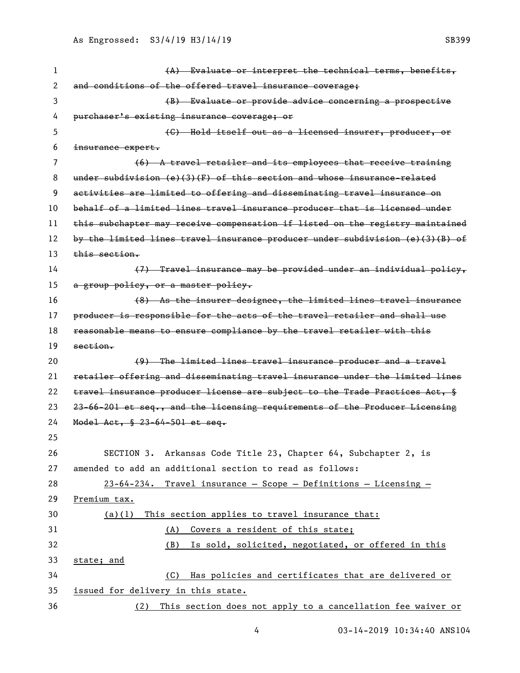| 1  | (A) Evaluate or interpret the technical terms, benefits,                      |
|----|-------------------------------------------------------------------------------|
| 2  | and conditions of the offered travel insurance coverage;                      |
| 3  | (B) Evaluate or provide advice concerning a prospective                       |
| 4  | purchaser's existing insurance coverage; or                                   |
| 5  | (C) Hold itself out as a licensed insurer, producer, or                       |
| 6  | insurance expert.                                                             |
| 7  | $(6)$ A travel retailer and its employees that receive training               |
| 8  | under subdivision $(e)(3)(F)$ of this section and whose insurance-related     |
| 9  | activities are limited to offering and disseminating travel insurance on      |
| 10 | behalf of a limited lines travel insurance producer that is licensed under    |
| 11 | this subchapter may receive compensation if listed on the registry maintained |
| 12 | by the limited lines travel insurance producer under subdivision (e)(3)(B) of |
| 13 | <del>this section.</del>                                                      |
| 14 | (7) Travel insurance may be provided under an individual policy,              |
| 15 | a group policy, or a master policy.                                           |
| 16 | (8) As the insurer designee, the limited lines travel insurance               |
| 17 | producer is responsible for the acts of the travel retailer and shall use     |
| 18 | reasonable means to ensure compliance by the travel retailer with this        |
| 19 | section.                                                                      |
| 20 | (9) The limited lines travel insurance producer and a travel                  |
| 21 | retailer offering and disseminating travel insurance under the limited lines  |
| 22 | travel insurance producer license are subject to the Trade Practices Act, §   |
| 23 | 23-66-201 et seq., and the licensing requirements of the Producer Licensing   |
| 24 | Model Act, § 23-64-501 et seq.                                                |
| 25 |                                                                               |
| 26 | SECTION 3. Arkansas Code Title 23, Chapter 64, Subchapter 2, is               |
| 27 | amended to add an additional section to read as follows:                      |
| 28 | $23-64-234$ . Travel insurance - Scope - Definitions - Licensing -            |
| 29 | Premium tax.                                                                  |
| 30 | This section applies to travel insurance that:<br>(a)(1)                      |
| 31 | Covers a resident of this state;<br>(A)                                       |
| 32 | (B) Is sold, solicited, negotiated, or offered in this                        |
| 33 | state; and                                                                    |
| 34 | Has policies and certificates that are delivered or<br>(C)                    |
| 35 | issued for delivery in this state.                                            |
| 36 | This section does not apply to a cancellation fee waiver or<br>(2)            |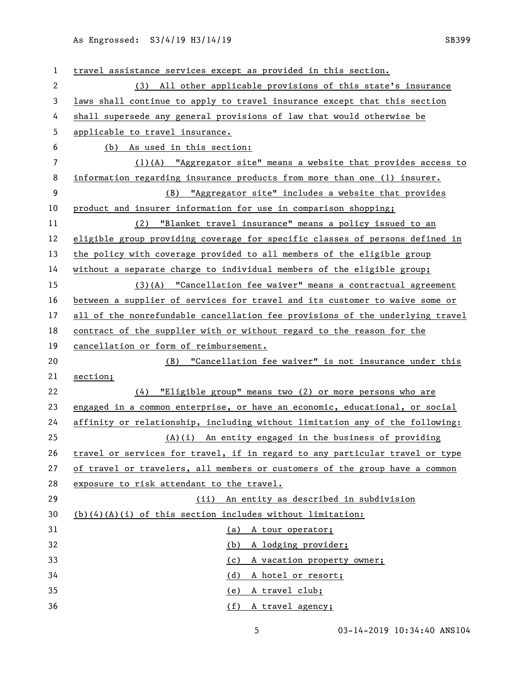| 1            | travel assistance services except as provided in this section.                |
|--------------|-------------------------------------------------------------------------------|
| $\mathbf{2}$ | (3) All other applicable provisions of this state's insurance                 |
| 3            | laws shall continue to apply to travel insurance except that this section     |
| 4            | shall supersede any general provisions of law that would otherwise be         |
| 5            | applicable to travel insurance.                                               |
| 6            | (b) As used in this section:                                                  |
| 7            | (1)(A) "Aggregator site" means a website that provides access to              |
| 8            | information regarding insurance products from more than one (1) insurer.      |
| 9            | (B) "Aggregator site" includes a website that provides                        |
| 10           | product and insurer information for use in comparison shopping;               |
| 11           | (2) "Blanket travel insurance" means a policy issued to an                    |
| 12           | eligible group providing coverage for specific classes of persons defined in  |
| 13           | the policy with coverage provided to all members of the eligible group        |
| 14           | without a separate charge to individual members of the eligible group;        |
| 15           | $(3)$ (A) "Cancellation fee waiver" means a contractual agreement             |
| 16           | between a supplier of services for travel and its customer to waive some or   |
| 17           | all of the nonrefundable cancellation fee provisions of the underlying travel |
| 18           | contract of the supplier with or without regard to the reason for the         |
| 19           | cancellation or form of reimbursement.                                        |
| 20           | (B) "Cancellation fee waiver" is not insurance under this                     |
| 21           | section;                                                                      |
| 22           | "Eligible group" means two (2) or more persons who are<br>(4)                 |
| 23           | engaged in a common enterprise, or have an economic, educational, or social   |
| 24           | affinity or relationship, including without limitation any of the following:  |
| 25           | (A)(i) An entity engaged in the business of providing                         |
| 26           | travel or services for travel, if in regard to any particular travel or type  |
| 27           | of travel or travelers, all members or customers of the group have a common   |
| 28           | exposure to risk attendant to the travel.                                     |
| 29           | (ii) An entity as described in subdivision                                    |
| 30           | $(b)$ $(4)$ $(A)$ $(i)$ of this section includes without limitation:          |
| 31           | (a) A tour operator;                                                          |
| 32           | A lodging provider;<br>(b)                                                    |
| 33           | A vacation property owner;<br>(c)                                             |
| 34           |                                                                               |
|              | (d)<br>A hotel or resort;                                                     |
| 35<br>36     | A travel club;<br><u>(e)</u><br>(f) A travel agency;                          |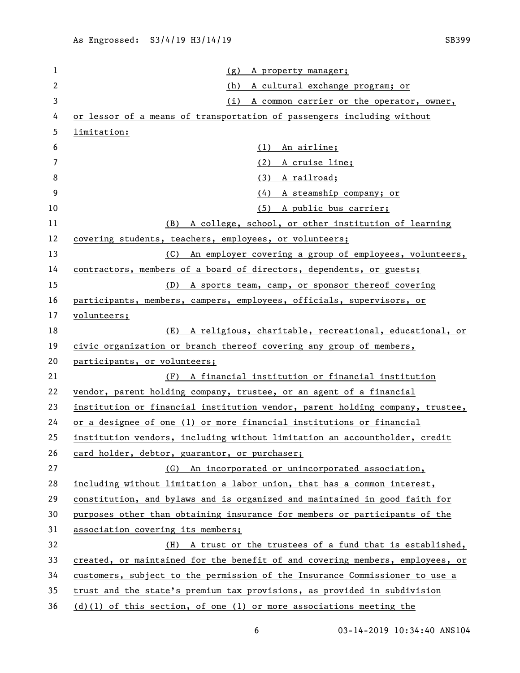| 1  | (g)<br>A property manager;                                                    |
|----|-------------------------------------------------------------------------------|
| 2  | (h)<br>A cultural exchange program; or                                        |
| 3  | (i)<br>A common carrier or the operator, owner,                               |
| 4  | or lessor of a means of transportation of passengers including without        |
| 5  | limitation:                                                                   |
| 6  | (1)<br>An airline;                                                            |
| 7  | (2)<br>A cruise line;                                                         |
| 8  | (3) A railroad;                                                               |
| 9  | (4)<br>A steamship company; or                                                |
| 10 | (5) A public bus carrier;                                                     |
| 11 | A college, school, or other institution of learning<br>(B)                    |
| 12 | covering students, teachers, employees, or volunteers;                        |
| 13 | An employer covering a group of employees, volunteers,<br>(C)                 |
| 14 | contractors, members of a board of directors, dependents, or guests;          |
| 15 | A sports team, camp, or sponsor thereof covering<br>(D)                       |
| 16 | participants, members, campers, employees, officials, supervisors, or         |
| 17 | volunteers;                                                                   |
| 18 | A religious, charitable, recreational, educational, or<br>(E)                 |
| 19 | civic organization or branch thereof covering any group of members,           |
| 20 | participants, or volunteers;                                                  |
| 21 | A financial institution or financial institution<br>(F)                       |
| 22 | vendor, parent holding company, trustee, or an agent of a financial           |
| 23 | institution or financial institution vendor, parent holding company, trustee, |
| 24 | or a designee of one (1) or more financial institutions or financial          |
| 25 | institution vendors, including without limitation an accountholder, credit    |
| 26 | card holder, debtor, guarantor, or purchaser;                                 |
| 27 | An incorporated or unincorporated association,<br>(G)                         |
| 28 | including without limitation a labor union, that has a common interest,       |
| 29 | constitution, and bylaws and is organized and maintained in good faith for    |
| 30 | purposes other than obtaining insurance for members or participants of the    |
| 31 | association covering its members;                                             |
| 32 | A trust or the trustees of a fund that is established,<br>(H)                 |
| 33 | created, or maintained for the benefit of and covering members, employees, or |
| 34 | customers, subject to the permission of the Insurance Commissioner to use a   |
| 35 | trust and the state's premium tax provisions, as provided in subdivision      |
| 36 | (d)(l) of this section, of one (l) or more associations meeting the           |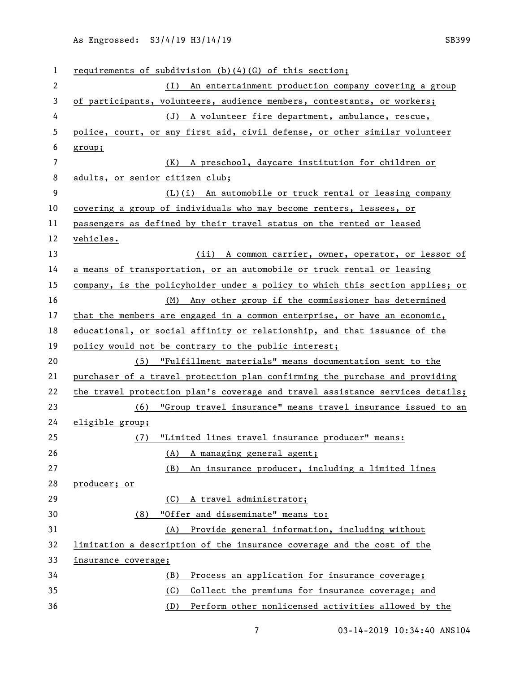| 1              | requirements of subdivision $(b)(4)(G)$ of this section;                      |
|----------------|-------------------------------------------------------------------------------|
| $\mathbf{2}$   | (I) An entertainment production company covering a group                      |
| 3              | of participants, volunteers, audience members, contestants, or workers;       |
| 4              | (J) A volunteer fire department, ambulance, rescue,                           |
| 5              | police, court, or any first aid, civil defense, or other similar volunteer    |
| 6              | group;                                                                        |
| $\overline{7}$ | (K) A preschool, daycare institution for children or                          |
| 8              | adults, or senior citizen club;                                               |
| 9              | (L)(i) An automobile or truck rental or leasing company                       |
| 10             | covering a group of individuals who may become renters, lessees, or           |
| 11             | passengers as defined by their travel status on the rented or leased          |
| 12             | <u>vehicles.</u>                                                              |
| 13             | (ii) A common carrier, owner, operator, or lessor of                          |
| 14             | a means of transportation, or an automobile or truck rental or leasing        |
| 15             | company, is the policyholder under a policy to which this section applies; or |
| 16             | (M) Any other group if the commissioner has determined                        |
| 17             | that the members are engaged in a common enterprise, or have an economic,     |
| 18             | educational, or social affinity or relationship, and that issuance of the     |
| 19             | policy would not be contrary to the public interest;                          |
| 20             | (5) "Fulfillment materials" means documentation sent to the                   |
| 21             | purchaser of a travel protection plan confirming the purchase and providing   |
| 22             | the travel protection plan's coverage and travel assistance services details; |
| 23             | "Group travel insurance" means travel insurance issued to an<br>(6)           |
| 24             | eligible group;                                                               |
| 25             | "Limited lines travel insurance producer" means:<br>(7)                       |
| 26             | A managing general agent;<br>(A)                                              |
| 27             | An insurance producer, including a limited lines<br>(B)                       |
| 28             | producer; or                                                                  |
| 29             | (C) A travel administrator;                                                   |
| 30             | "Offer and disseminate" means to:<br>(8)                                      |
| 31             | (A) Provide general information, including without                            |
| 32             | limitation a description of the insurance coverage and the cost of the        |
| 33             | insurance coverage;                                                           |
| 34             | Process an application for insurance coverage;<br>(B)                         |
| 35             | (C)<br>Collect the premiums for insurance coverage; and                       |
| 36             | Perform other nonlicensed activities allowed by the<br>(D)                    |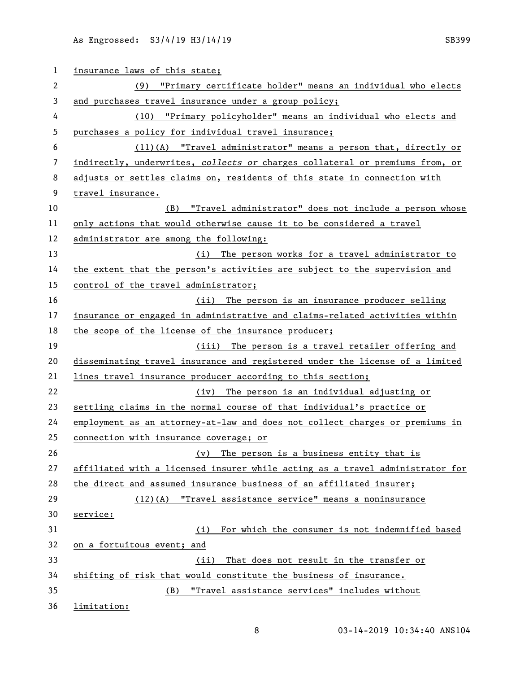| $\mathbf{1}$ | insurance laws of this state;                                                 |
|--------------|-------------------------------------------------------------------------------|
| 2            | (9) "Primary certificate holder" means an individual who elects               |
| 3            | and purchases travel insurance under a group policy;                          |
| 4            | "Primary policyholder" means an individual who elects and<br>(10)             |
| 5            | purchases a policy for individual travel insurance;                           |
| 6            | (11)(A) "Travel administrator" means a person that, directly or               |
| 7            | indirectly, underwrites, collects or charges collateral or premiums from, or  |
| 8            | adjusts or settles claims on, residents of this state in connection with      |
| 9            | travel insurance.                                                             |
| 10           | "Travel administrator" does not include a person whose<br>(B)                 |
| 11           | only actions that would otherwise cause it to be considered a travel          |
| 12           | administrator are among the following:                                        |
| 13           | (i) The person works for a travel administrator to                            |
| 14           | the extent that the person's activities are subject to the supervision and    |
| 15           | control of the travel administrator;                                          |
| 16           | (ii) The person is an insurance producer selling                              |
| 17           | insurance or engaged in administrative and claims-related activities within   |
| 18           | the scope of the license of the insurance producer;                           |
| 19           | (iii) The person is a travel retailer offering and                            |
| 20           | disseminating travel insurance and registered under the license of a limited  |
| 21           | lines travel insurance producer according to this section;                    |
| 22           | (iv) The person is an individual adjusting or                                 |
| 23           | settling claims in the normal course of that individual's practice or         |
| 24           | employment as an attorney-at-law and does not collect charges or premiums in  |
| 25           | connection with insurance coverage; or                                        |
| 26           | (v) The person is a business entity that is                                   |
| 27           | affiliated with a licensed insurer while acting as a travel administrator for |
| 28           | the direct and assumed insurance business of an affiliated insurer;           |
| 29           | $(12)(A)$ "Travel assistance service" means a noninsurance                    |
| 30           | service:                                                                      |
| 31           | For which the consumer is not indemnified based<br>(i)                        |
| 32           | on a fortuitous event; and                                                    |
| 33           | That does not result in the transfer or<br>(ii)                               |
| 34           | shifting of risk that would constitute the business of insurance.             |
| 35           | "Travel assistance services" includes without<br>(B)                          |
| 36           | limitation:                                                                   |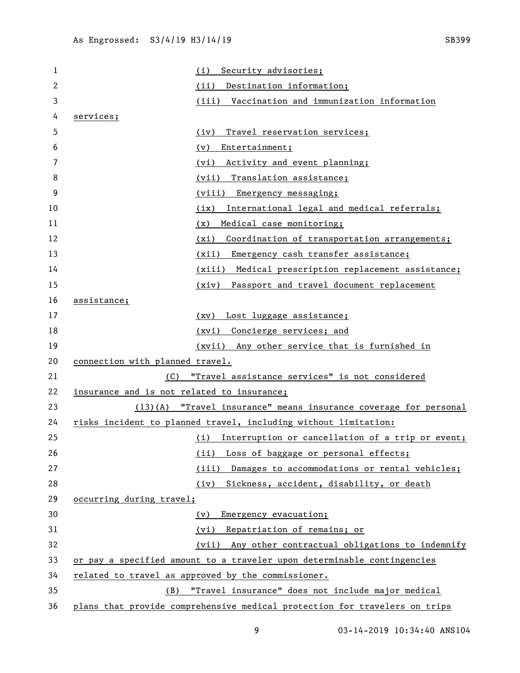| 1  | Security advisories;<br>(i)                                                |                                                     |
|----|----------------------------------------------------------------------------|-----------------------------------------------------|
| 2  | Destination information;<br>(ii)                                           |                                                     |
| 3  | (iii)                                                                      | Vaccination and immunization information            |
| 4  | services;                                                                  |                                                     |
| 5  | Travel reservation services;<br>(iv)                                       |                                                     |
| 6  | Entertainment;<br>(v)                                                      |                                                     |
| 7  | Activity and event planning;<br>(vi)                                       |                                                     |
| 8  | (vii) Translation assistance;                                              |                                                     |
| 9  | (viii) Emergency messaging;                                                |                                                     |
| 10 | (ix)                                                                       | International legal and medical referrals;          |
| 11 | Medical case monitoring;<br>(x)                                            |                                                     |
| 12 | (xi)                                                                       | Coordination of transportation arrangements;        |
| 13 | (xii) Emergency cash transfer assistance;                                  |                                                     |
| 14 |                                                                            | (xiii) Medical prescription replacement assistance; |
| 15 | (xiv)                                                                      | Passport and travel document replacement            |
| 16 | assistance;                                                                |                                                     |
| 17 | (xv) Lost luggage assistance;                                              |                                                     |
| 18 | (xvi) Concierge services; and                                              |                                                     |
| 19 |                                                                            | (xvii) Any other service that is furnished in       |
| 20 | connection with planned travel.                                            |                                                     |
| 21 | "Travel assistance services" is not considered<br>(C)                      |                                                     |
| 22 | insurance and is not related to insurance;                                 |                                                     |
| 23 | $(13)(A)$ "Travel insurance" means insurance coverage for personal         |                                                     |
| 24 | risks incident to planned travel, including without limitation:            |                                                     |
| 25 | (i)                                                                        | Interruption or cancellation of a trip or event;    |
| 26 | (ii)                                                                       | Loss of baggage or personal effects;                |
| 27 | (iii)                                                                      | Damages to accommodations or rental vehicles;       |
| 28 | (iy)                                                                       | Sickness, accident, disability, or death            |
| 29 | occurring during travel;                                                   |                                                     |
| 30 | Emergency evacuation;<br>(v)                                               |                                                     |
| 31 | (vi) Repatriation of remains; or                                           |                                                     |
| 32 | (vii)                                                                      | Any other contractual obligations to indemnify      |
| 33 | or pay a specified amount to a traveler upon determinable contingencies    |                                                     |
| 34 | related to travel as approved by the commissioner.                         |                                                     |
| 35 | (B)                                                                        | "Travel insurance" does not include major medical   |
| 36 | plans that provide comprehensive medical protection for travelers on trips |                                                     |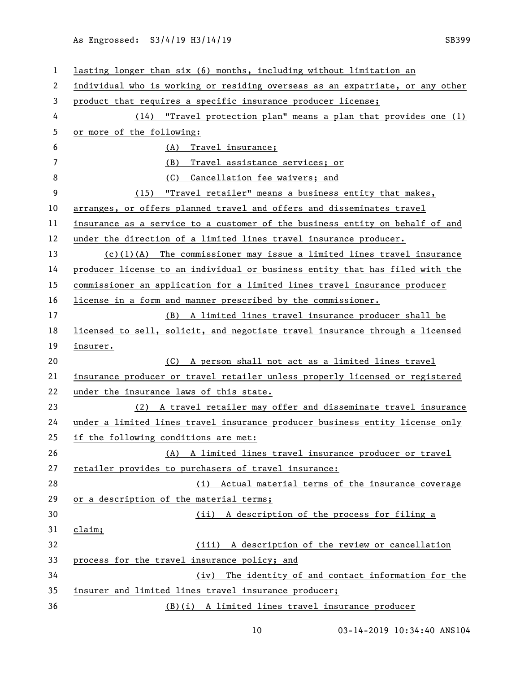| 1              | lasting longer than six (6) months, including without limitation an           |
|----------------|-------------------------------------------------------------------------------|
| 2              | individual who is working or residing overseas as an expatriate, or any other |
| 3              | product that requires a specific insurance producer license;                  |
| 4              | (14) "Travel protection plan" means a plan that provides one (1)              |
| 5              | or more of the following:                                                     |
| 6              | (A)<br>Travel insurance;                                                      |
| $\overline{7}$ | Travel assistance services; or<br>(B)                                         |
| 8              | (C) Cancellation fee waivers; and                                             |
| 9              | (15) "Travel retailer" means a business entity that makes,                    |
| 10             | arranges, or offers planned travel and offers and disseminates travel         |
| 11             | insurance as a service to a customer of the business entity on behalf of and  |
| 12             | under the direction of a limited lines travel insurance producer.             |
| 13             | $(c)(1)(A)$ The commissioner may issue a limited lines travel insurance       |
| 14             | producer license to an individual or business entity that has filed with the  |
| 15             | commissioner an application for a limited lines travel insurance producer     |
| 16             | license in a form and manner prescribed by the commissioner.                  |
| 17             | (B) A limited lines travel insurance producer shall be                        |
| 18             | licensed to sell, solicit, and negotiate travel insurance through a licensed  |
| 19             | insurer.                                                                      |
| 20             | (C) A person shall not act as a limited lines travel                          |
| 21             | insurance producer or travel retailer unless properly licensed or registered  |
| 22             | under the insurance laws of this state.                                       |
| 23             | (2) A travel retailer may offer and disseminate travel insurance              |
| 24             | under a limited lines travel insurance producer business entity license only  |
| 25             | if the following conditions are met:                                          |
| 26             | (A) A limited lines travel insurance producer or travel                       |
| 27             | retailer provides to purchasers of travel insurance:                          |
| 28             | (i) Actual material terms of the insurance coverage                           |
| 29             | or a description of the material terms;                                       |
| 30             | (ii) A description of the process for filing a                                |
| 31             | claim;                                                                        |
| 32             | (iii) A description of the review or cancellation                             |
| 33             | process for the travel insurance policy; and                                  |
| 34             | The identity of and contact information for the<br>(iv)                       |
| 35             | insurer and limited lines travel insurance producer;                          |
| 36             | (B)(i) A limited lines travel insurance producer                              |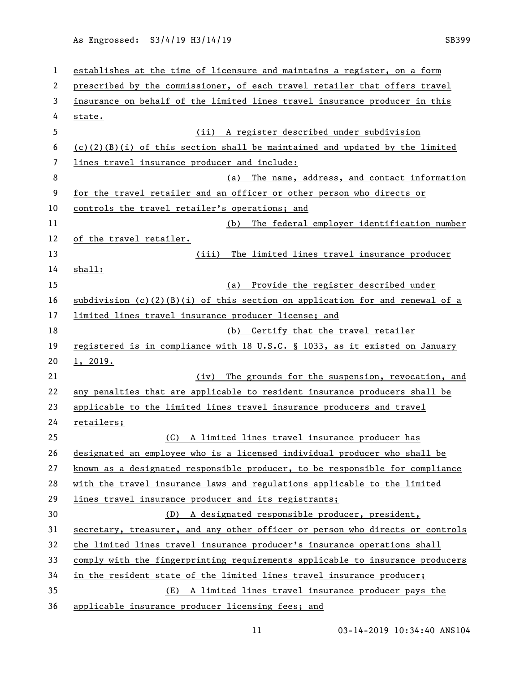| 1  | establishes at the time of licensure and maintains a register, on a form       |
|----|--------------------------------------------------------------------------------|
| 2  | prescribed by the commissioner, of each travel retailer that offers travel     |
| 3  | insurance on behalf of the limited lines travel insurance producer in this     |
| 4  | state.                                                                         |
| 5  | (ii) A register described under subdivision                                    |
| 6  | $(c)(2)(B)(i)$ of this section shall be maintained and updated by the limited  |
| 7  | lines travel insurance producer and include:                                   |
| 8  | The name, address, and contact information<br>(a)                              |
| 9  | for the travel retailer and an officer or other person who directs or          |
| 10 | controls the travel retailer's operations; and                                 |
| 11 | The federal employer identification number<br>(b)                              |
| 12 | of the travel retailer.                                                        |
| 13 | (iii) The limited lines travel insurance producer                              |
| 14 | shall:                                                                         |
| 15 | (a) Provide the register described under                                       |
| 16 | subdivision $(c)(2)(B)(i)$ of this section on application for and renewal of a |
| 17 | limited lines travel insurance producer license; and                           |
| 18 | (b) Certify that the travel retailer                                           |
| 19 | registered is in compliance with 18 U.S.C. § 1033, as it existed on January    |
| 20 | 1, 2019.                                                                       |
| 21 | The grounds for the suspension, revocation, and<br>(iv)                        |
| 22 | any penalties that are applicable to resident insurance producers shall be     |
| 23 | applicable to the limited lines travel insurance producers and travel          |
| 24 | retailers;                                                                     |
| 25 | (C) A limited lines travel insurance producer has                              |
| 26 | designated an employee who is a licensed individual producer who shall be      |
| 27 | known as a designated responsible producer, to be responsible for compliance   |
| 28 | with the travel insurance laws and regulations applicable to the limited       |
| 29 | lines travel insurance producer and its registrants;                           |
| 30 | (D) A designated responsible producer, president,                              |
| 31 | secretary, treasurer, and any other officer or person who directs or controls  |
| 32 | the limited lines travel insurance producer's insurance operations shall       |
| 33 | comply with the fingerprinting requirements applicable to insurance producers  |
| 34 | in the resident state of the limited lines travel insurance producer;          |
| 35 | (E) A limited lines travel insurance producer pays the                         |
| 36 | applicable insurance producer licensing fees; and                              |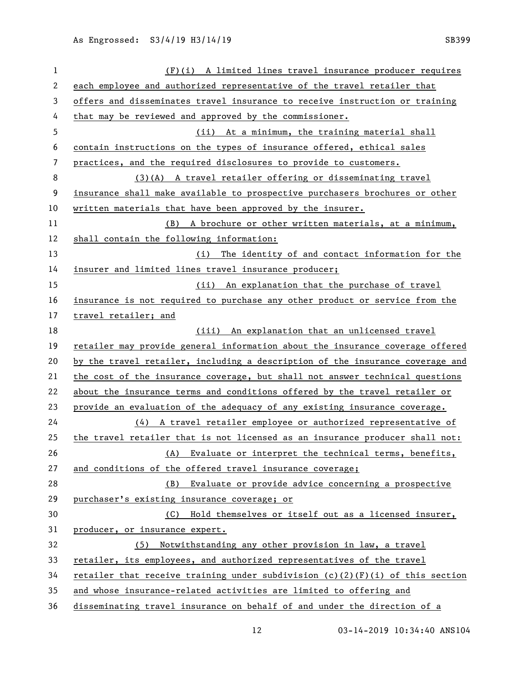| $\mathbf{1}$ | $(F)(i)$ A limited lines travel insurance producer requires                     |
|--------------|---------------------------------------------------------------------------------|
| $\mathbf{2}$ | each employee and authorized representative of the travel retailer that         |
| 3            | offers and disseminates travel insurance to receive instruction or training     |
| 4            | that may be reviewed and approved by the commissioner.                          |
| 5            | (ii) At a minimum, the training material shall                                  |
| 6            | contain instructions on the types of insurance offered, ethical sales           |
| 7            | practices, and the required disclosures to provide to customers.                |
| 8            | (3)(A) A travel retailer offering or disseminating travel                       |
| 9            | insurance shall make available to prospective purchasers brochures or other     |
| 10           | written materials that have been approved by the insurer.                       |
| 11           | (B) A brochure or other written materials, at a minimum,                        |
| 12           | shall contain the following information:                                        |
| 13           | (i) The identity of and contact information for the                             |
| 14           | insurer and limited lines travel insurance producer;                            |
| 15           | (ii) An explanation that the purchase of travel                                 |
| 16           | insurance is not required to purchase any other product or service from the     |
| 17           | travel retailer; and                                                            |
| 18           | (iii) An explanation that an unlicensed travel                                  |
| 19           | retailer may provide general information about the insurance coverage offered   |
| 20           | by the travel retailer, including a description of the insurance coverage and   |
| 21           | the cost of the insurance coverage, but shall not answer technical questions    |
| 22           | about the insurance terms and conditions offered by the travel retailer or      |
| 23           | provide an evaluation of the adequacy of any existing insurance coverage.       |
| 24           | $(4)$ A travel retailer employee or authorized representative of                |
| 25           | the travel retailer that is not licensed as an insurance producer shall not:    |
| 26           | (A) Evaluate or interpret the technical terms, benefits,                        |
| 27           | and conditions of the offered travel insurance coverage;                        |
| 28           | (B) Evaluate or provide advice concerning a prospective                         |
| 29           | purchaser's existing insurance coverage; or                                     |
| 30           | (C) Hold themselves or itself out as a licensed insurer,                        |
| 31           | producer, or insurance expert.                                                  |
| 32           | (5) Notwithstanding any other provision in law, a travel                        |
| 33           | retailer, its employees, and authorized representatives of the travel           |
| 34           | retailer that receive training under subdivision $(c)(2)(F)(i)$ of this section |
| 35           | and whose insurance-related activities are limited to offering and              |
| 36           | disseminating travel insurance on behalf of and under the direction of a        |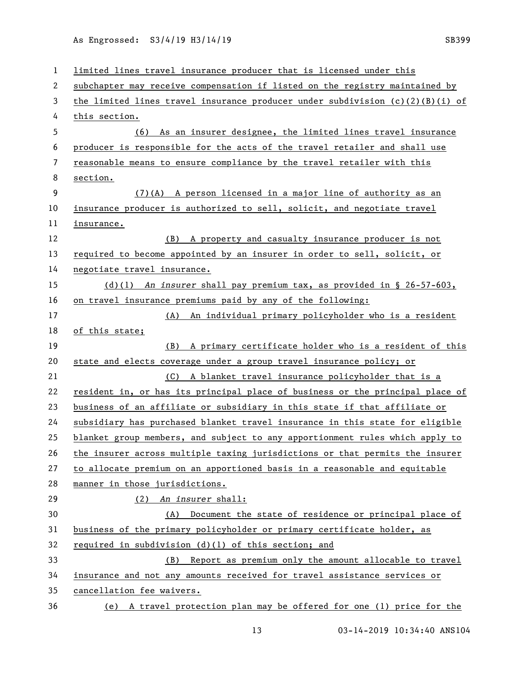| $\mathbf{1}$ | limited lines travel insurance producer that is licensed under this             |
|--------------|---------------------------------------------------------------------------------|
| 2            | subchapter may receive compensation if listed on the registry maintained by     |
| 3            | the limited lines travel insurance producer under subdivision $(c)(2)(B)(i)$ of |
| 4            | this section.                                                                   |
| 5            | As an insurer designee, the limited lines travel insurance<br>(6)               |
| 6            | producer is responsible for the acts of the travel retailer and shall use       |
| 7            | reasonable means to ensure compliance by the travel retailer with this          |
| 8            | section.                                                                        |
| 9            | (7)(A) A person licensed in a major line of authority as an                     |
| 10           | insurance producer is authorized to sell, solicit, and negotiate travel         |
| 11           | insurance.                                                                      |
| 12           | (B) A property and casualty insurance producer is not                           |
| 13           | required to become appointed by an insurer in order to sell, solicit, or        |
| 14           | negotiate travel insurance.                                                     |
| 15           | (d)(l) An insurer shall pay premium tax, as provided in $\S$ 26-57-603,         |
| 16           | on travel insurance premiums paid by any of the following:                      |
| 17           | (A) An individual primary policyholder who is a resident                        |
| 18           | of this state;                                                                  |
|              |                                                                                 |
| 19           | (B) A primary certificate holder who is a resident of this                      |
| 20           | state and elects coverage under a group travel insurance policy; or             |
| 21           | (C) A blanket travel insurance policyholder that is a                           |
| 22           | resident in, or has its principal place of business or the principal place of   |
| 23           | business of an affiliate or subsidiary in this state if that affiliate or       |
| 24           | subsidiary has purchased blanket travel insurance in this state for eligible    |
| 25           | blanket group members, and subject to any apportionment rules which apply to    |
| 26           | the insurer across multiple taxing jurisdictions or that permits the insurer    |
| 27           | to allocate premium on an apportioned basis in a reasonable and equitable       |
| 28           | manner in those jurisdictions.                                                  |
| 29           | $(2)$ An insurer shall:                                                         |
| 30           | (A) Document the state of residence or principal place of                       |
| 31           | business of the primary policyholder or primary certificate holder, as          |
| 32           | required in subdivision (d)(1) of this section; and                             |
| 33           | (B) Report as premium only the amount allocable to travel                       |
| 34           | insurance and not any amounts received for travel assistance services or        |
| 35           | cancellation fee waivers.                                                       |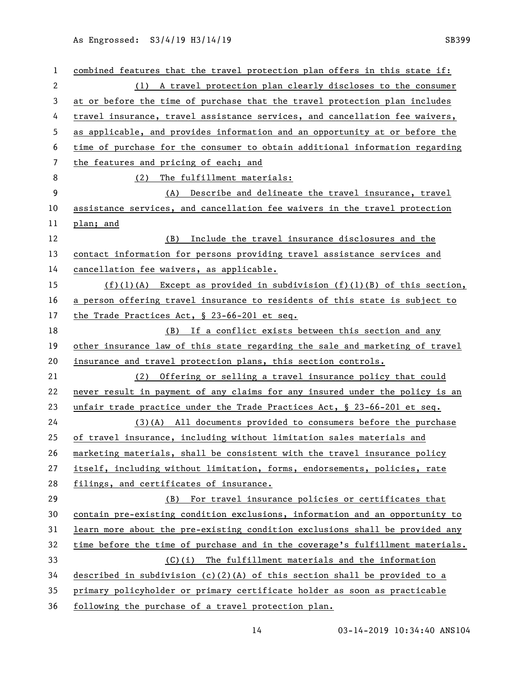| $\mathbf{1}$ | combined features that the travel protection plan offers in this state if:    |
|--------------|-------------------------------------------------------------------------------|
| $\mathbf{2}$ | (1) A travel protection plan clearly discloses to the consumer                |
| 3            | at or before the time of purchase that the travel protection plan includes    |
| 4            | travel insurance, travel assistance services, and cancellation fee waivers,   |
| 5            | as applicable, and provides information and an opportunity at or before the   |
| 6            | time of purchase for the consumer to obtain additional information regarding  |
| 7            | the features and pricing of each; and                                         |
| 8            | The fulfillment materials:<br>(2)                                             |
| 9            | Describe and delineate the travel insurance, travel<br>(A)                    |
| 10           | assistance services, and cancellation fee waivers in the travel protection    |
| 11           | plan; and                                                                     |
| 12           | (B) Include the travel insurance disclosures and the                          |
| 13           | contact information for persons providing travel assistance services and      |
| 14           | cancellation fee waivers, as applicable.                                      |
| 15           | $(f)(1)(A)$ Except as provided in subdivision $(f)(1)(B)$ of this section,    |
| 16           | a person offering travel insurance to residents of this state is subject to   |
| 17           | the Trade Practices Act, § 23-66-201 et seq.                                  |
| 18           | (B) If a conflict exists between this section and any                         |
| 19           | other insurance law of this state regarding the sale and marketing of travel  |
| 20           | insurance and travel protection plans, this section controls.                 |
| 21           | (2) Offering or selling a travel insurance policy that could                  |
| 22           | never result in payment of any claims for any insured under the policy is an  |
| 23           | unfair trade practice under the Trade Practices Act, § 23-66-201 et seq.      |
| 24           | (3)(A) All documents provided to consumers before the purchase                |
| 25           | of travel insurance, including without limitation sales materials and         |
| 26           | marketing materials, shall be consistent with the travel insurance policy     |
| 27           | itself, including without limitation, forms, endorsements, policies, rate     |
| 28           | filings, and certificates of insurance.                                       |
| 29           | (B) For travel insurance policies or certificates that                        |
| 30           | contain pre-existing condition exclusions, information and an opportunity to  |
| 31           | learn more about the pre-existing condition exclusions shall be provided any  |
| 32           | time before the time of purchase and in the coverage's fulfillment materials. |
| 33           | (C)(i) The fulfillment materials and the information                          |
| 34           | described in subdivision (c)(2)(A) of this section shall be provided to a     |
| 35           | primary policyholder or primary certificate holder as soon as practicable     |
| 36           | following the purchase of a travel protection plan.                           |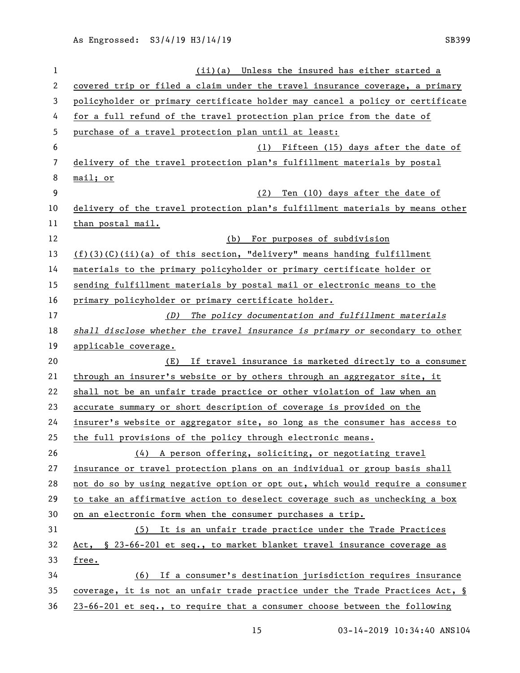(ii)(a) Unless the insured has either started a covered trip or filed a claim under the travel insurance coverage, a primary policyholder or primary certificate holder may cancel a policy or certificate for a full refund of the travel protection plan price from the date of purchase of a travel protection plan until at least: (1) Fifteen (15) days after the date of delivery of the travel protection plan's fulfillment materials by postal mail; or (2) Ten (10) days after the date of delivery of the travel protection plan's fulfillment materials by means other than postal mail. (b) For purposes of subdivision (f)(3)(C)(ii)(a) of this section, "delivery" means handing fulfillment materials to the primary policyholder or primary certificate holder or sending fulfillment materials by postal mail or electronic means to the primary policyholder or primary certificate holder. *(D) The policy documentation and fulfillment materials shall disclose whether the travel insurance is primary or* secondary to other applicable coverage. (E) If travel insurance is marketed directly to a consumer through an insurer's website or by others through an aggregator site, it shall not be an unfair trade practice or other violation of law when an accurate summary or short description of coverage is provided on the insurer's website or aggregator site, so long as the consumer has access to the full provisions of the policy through electronic means. (4) A person offering, soliciting, or negotiating travel insurance or travel protection plans on an individual or group basis shall not do so by using negative option or opt out, which would require a consumer to take an affirmative action to deselect coverage such as unchecking a box on an electronic form when the consumer purchases a trip. (5) It is an unfair trade practice under the Trade Practices Act, § 23-66-201 et seq., to market blanket travel insurance coverage as free. (6) If a consumer's destination jurisdiction requires insurance coverage, it is not an unfair trade practice under the Trade Practices Act, § 23-66-201 et seq., to require that a consumer choose between the following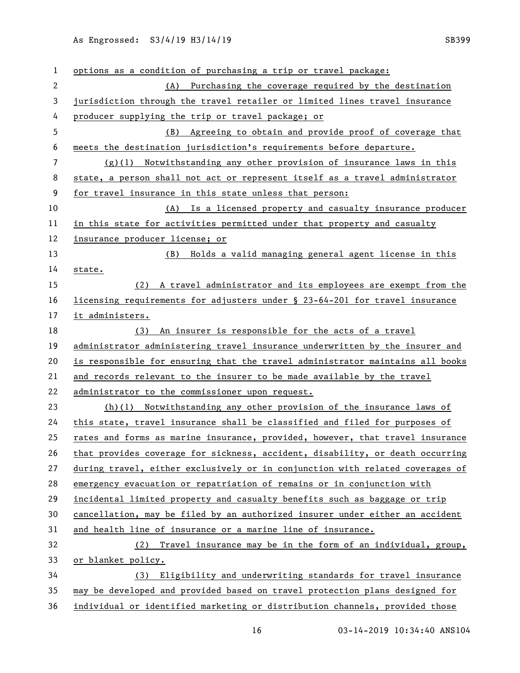| 1  | options as a condition of purchasing a trip or travel package:                |
|----|-------------------------------------------------------------------------------|
| 2  | (A) Purchasing the coverage required by the destination                       |
| 3  | jurisdiction through the travel retailer or limited lines travel insurance    |
| 4  | producer supplying the trip or travel package; or                             |
| 5  | Agreeing to obtain and provide proof of coverage that<br>(B)                  |
| 6  | meets the destination jurisdiction's requirements before departure.           |
| 7  | $(g)(1)$ Notwithstanding any other provision of insurance laws in this        |
| 8  | state, a person shall not act or represent itself as a travel administrator   |
| 9  | for travel insurance in this state unless that person:                        |
| 10 | (A) Is a licensed property and casualty insurance producer                    |
| 11 | in this state for activities permitted under that property and casualty       |
| 12 | insurance producer license; or                                                |
| 13 | Holds a valid managing general agent license in this<br>(B)                   |
| 14 | state.                                                                        |
| 15 | A travel administrator and its employees are exempt from the<br>(2)           |
| 16 | licensing requirements for adjusters under § 23-64-201 for travel insurance   |
| 17 | it administers.                                                               |
| 18 | (3) An insurer is responsible for the acts of a travel                        |
| 19 | administrator administering travel insurance underwritten by the insurer and  |
| 20 | is responsible for ensuring that the travel administrator maintains all books |
| 21 | and records relevant to the insurer to be made available by the travel        |
| 22 | administrator to the commissioner upon request.                               |
| 23 | (h)(l) Notwithstanding any other provision of the insurance laws of           |
| 24 | this state, travel insurance shall be classified and filed for purposes of    |
| 25 | rates and forms as marine insurance, provided, however, that travel insurance |
| 26 | that provides coverage for sickness, accident, disability, or death occurring |
| 27 | during travel, either exclusively or in conjunction with related coverages of |
| 28 | emergency evacuation or repatriation of remains or in conjunction with        |
| 29 | incidental limited property and casualty benefits such as baggage or trip     |
| 30 | cancellation, may be filed by an authorized insurer under either an accident  |
| 31 | and health line of insurance or a marine line of insurance.                   |
| 32 | (2) Travel insurance may be in the form of an individual, group,              |
| 33 | or blanket policy.                                                            |
| 34 | Eligibility and underwriting standards for travel insurance<br>(3)            |
| 35 | may be developed and provided based on travel protection plans designed for   |
| 36 | individual or identified marketing or distribution channels, provided those   |